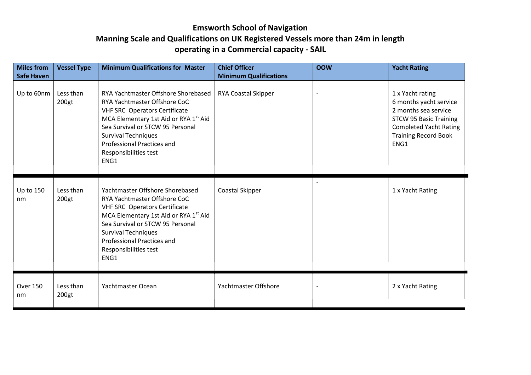## **Emsworth School of Navigation Manning Scale and Qualifications on UK Registered Vessels more than 24m in length operating in a Commercial capacity - SAIL**

| <b>Miles from</b><br><b>Safe Haven</b> | <b>Vessel Type</b> | <b>Minimum Qualifications for Master</b>                                                                                                                                                                                                                                                          | <b>Chief Officer</b><br><b>Minimum Qualifications</b> | <b>OOW</b>               | <b>Yacht Rating</b>                                                                                                                                                         |
|----------------------------------------|--------------------|---------------------------------------------------------------------------------------------------------------------------------------------------------------------------------------------------------------------------------------------------------------------------------------------------|-------------------------------------------------------|--------------------------|-----------------------------------------------------------------------------------------------------------------------------------------------------------------------------|
| Up to 60nm                             | Less than<br>200gt | RYA Yachtmaster Offshore Shorebased<br>RYA Yachtmaster Offshore CoC<br><b>VHF SRC Operators Certificate</b><br>MCA Elementary 1st Aid or RYA 1 <sup>st</sup> Aid<br>Sea Survival or STCW 95 Personal<br><b>Survival Techniques</b><br>Professional Practices and<br>Responsibilities test<br>ENG1 | <b>RYA Coastal Skipper</b>                            | $\overline{\phantom{a}}$ | 1 x Yacht rating<br>6 months yacht service<br>2 months sea service<br><b>STCW 95 Basic Training</b><br><b>Completed Yacht Rating</b><br><b>Training Record Book</b><br>ENG1 |
| Up to 150<br>nm                        | Less than<br>200gt | Yachtmaster Offshore Shorebased<br>RYA Yachtmaster Offshore CoC<br><b>VHF SRC Operators Certificate</b><br>MCA Elementary 1st Aid or RYA 1st Aid<br>Sea Survival or STCW 95 Personal<br><b>Survival Techniques</b><br><b>Professional Practices and</b><br>Responsibilities test<br>ENG1          | Coastal Skipper                                       |                          | 1 x Yacht Rating                                                                                                                                                            |
| <b>Over 150</b><br>nm                  | Less than<br>200gt | Yachtmaster Ocean                                                                                                                                                                                                                                                                                 | Yachtmaster Offshore                                  | $\overline{\phantom{a}}$ | 2 x Yacht Rating                                                                                                                                                            |